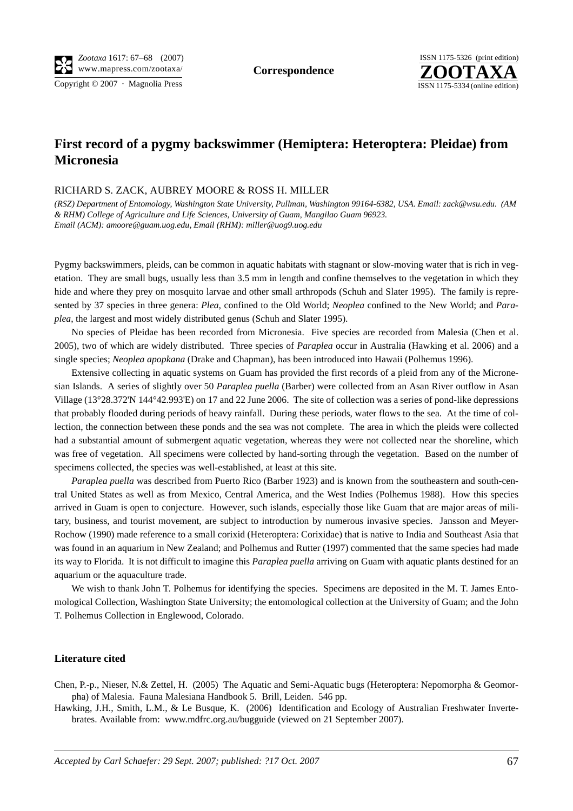Copyright © 2007 · Magnolia Press ISSN 1175-5334 (online edition)



## **First record of a pygmy backswimmer (Hemiptera: Heteroptera: Pleidae) from Micronesia**

## RICHARD S. ZACK, AUBREY MOORE & ROSS H. MILLER

*(RSZ) Department of Entomology, Washington State University, Pullman, Washington 99164-6382, USA. Email: zack@wsu.edu. (AM & RHM) College of Agriculture and Life Sciences, University of Guam, Mangilao Guam 96923. Email (ACM): amoore@guam.uog.edu, Email (RHM): miller@uog9.uog.edu*

Pygmy backswimmers, pleids, can be common in aquatic habitats with stagnant or slow-moving water that is rich in vegetation. They are small bugs, usually less than 3.5 mm in length and confine themselves to the vegetation in which they hide and where they prey on mosquito larvae and other small arthropods (Schuh and Slater 1995). The family is represented by 37 species in three genera: *Plea,* confined to the Old World; *Neoplea* confined to the New World; and *Paraplea*, the largest and most widely distributed genus (Schuh and Slater 1995).

No species of Pleidae has been recorded from Micronesia. Five species are recorded from Malesia (Chen et al. 2005), two of which are widely distributed. Three species of *Paraplea* occur in Australia (Hawking et al. 2006) and a single species; *Neoplea apopkana* (Drake and Chapman), has been introduced into Hawaii (Polhemus 1996).

Extensive collecting in aquatic systems on Guam has provided the first records of a pleid from any of the Micronesian Islands. A series of slightly over 50 *Paraplea puella* (Barber) were collected from an Asan River outflow in Asan Village (13°28.372'N 144°42.993'E) on 17 and 22 June 2006. The site of collection was a series of pond-like depressions that probably flooded during periods of heavy rainfall. During these periods, water flows to the sea. At the time of collection, the connection between these ponds and the sea was not complete. The area in which the pleids were collected had a substantial amount of submergent aquatic vegetation, whereas they were not collected near the shoreline, which was free of vegetation. All specimens were collected by hand-sorting through the vegetation. Based on the number of specimens collected, the species was well-established, at least at this site.

*Paraplea puella* was described from Puerto Rico (Barber 1923) and is known from the southeastern and south-central United States as well as from Mexico, Central America, and the West Indies (Polhemus 1988). How this species arrived in Guam is open to conjecture. However, such islands, especially those like Guam that are major areas of military, business, and tourist movement, are subject to introduction by numerous invasive species. Jansson and Meyer-Rochow (1990) made reference to a small corixid (Heteroptera: Corixidae) that is native to India and Southeast Asia that was found in an aquarium in New Zealand; and Polhemus and Rutter (1997) commented that the same species had made its way to Florida. It is not difficult to imagine this *Paraplea puella* arriving on Guam with aquatic plants destined for an aquarium or the aquaculture trade.

We wish to thank John T. Polhemus for identifying the species. Specimens are deposited in the M. T. James Entomological Collection, Washington State University; the entomological collection at the University of Guam; and the John T. Polhemus Collection in Englewood, Colorado.

## **Literature cited**

Chen, P.-p., Nieser, N.& Zettel, H. (2005) The Aquatic and Semi-Aquatic bugs (Heteroptera: Nepomorpha & Geomorpha) of Malesia. Fauna Malesiana Handbook 5. Brill, Leiden. 546 pp.

Hawking, J.H., Smith, L.M., & Le Busque, K. (2006) Identification and Ecology of Australian Freshwater Invertebrates. Available from: www.mdfrc.org.au/bugguide (viewed on 21 September 2007).